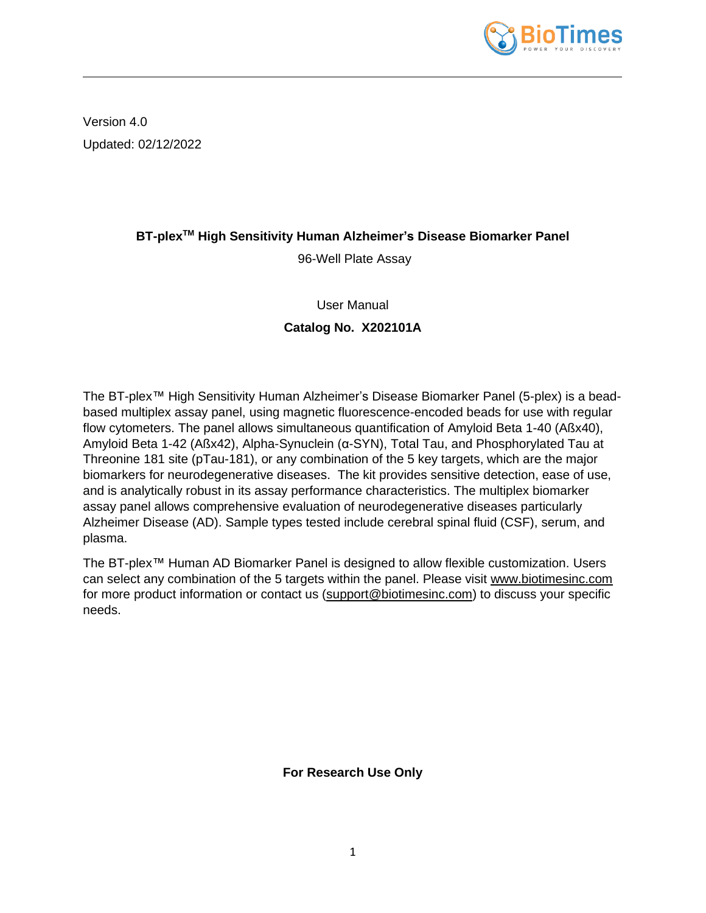

Version 4.0 Updated: 02/12/2022

# **BT-plexTM High Sensitivity Human Alzheimer's Disease Biomarker Panel**

96-Well Plate Assay

## User Manual

# **Catalog No. X202101A**

The BT-plex™ High Sensitivity Human Alzheimer's Disease Biomarker Panel (5-plex) is a beadbased multiplex assay panel, using magnetic fluorescence-encoded beads for use with regular flow cytometers. The panel allows simultaneous quantification of Amyloid Beta 1-40 (Aßx40), Amyloid Beta 1-42 (Aßx42), Alpha-Synuclein (α-SYN), Total Tau, and Phosphorylated Tau at Threonine 181 site (pTau-181), or any combination of the 5 key targets, which are the major biomarkers for neurodegenerative diseases. The kit provides sensitive detection, ease of use, and is analytically robust in its assay performance characteristics. The multiplex biomarker assay panel allows comprehensive evaluation of neurodegenerative diseases particularly Alzheimer Disease (AD). Sample types tested include cerebral spinal fluid (CSF), serum, and plasma.

The BT-plex™ Human AD Biomarker Panel is designed to allow flexible customization. Users can select any combination of the 5 targets within the panel. Please visit [www.biotimesinc.com](http://www.biotimesinc.com/) for more product information or contact us [\(support@biotimesinc.com\)](mailto:support@biotimesinc.com) to discuss your specific needs.

**For Research Use Only**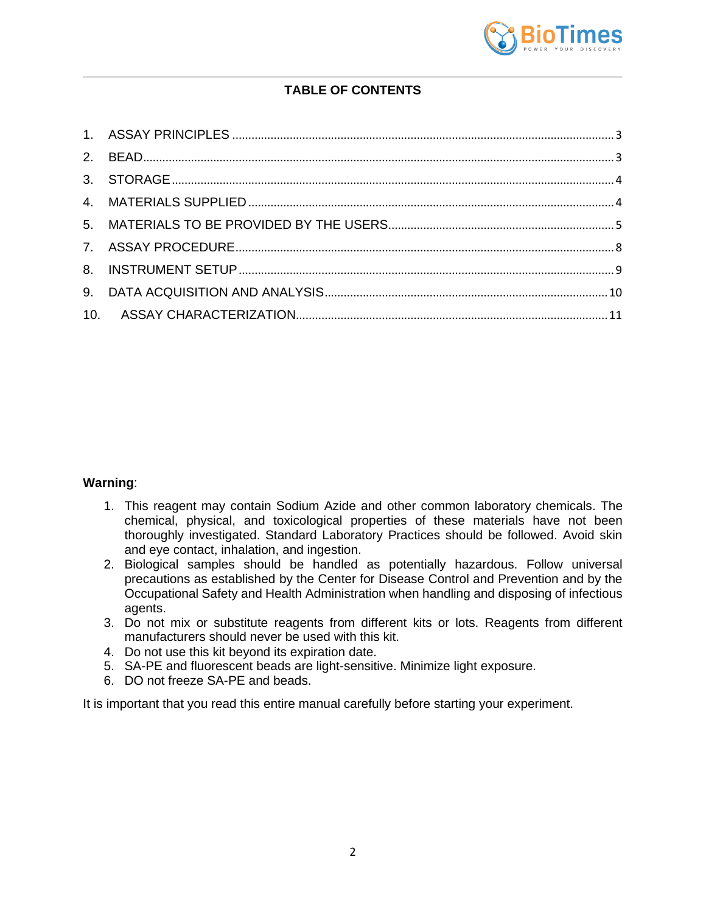

# **TABLE OF CONTENTS**

### **Warning**:

- 1. This reagent may contain Sodium Azide and other common laboratory chemicals. The chemical, physical, and toxicological properties of these materials have not been thoroughly investigated. Standard Laboratory Practices should be followed. Avoid skin and eye contact, inhalation, and ingestion.
- 2. Biological samples should be handled as potentially hazardous. Follow universal precautions as established by the Center for Disease Control and Prevention and by the Occupational Safety and Health Administration when handling and disposing of infectious agents.
- 3. Do not mix or substitute reagents from different kits or lots. Reagents from different manufacturers should never be used with this kit.
- 4. Do not use this kit beyond its expiration date.
- 5. SA-PE and fluorescent beads are light-sensitive. Minimize light exposure.
- 6. DO not freeze SA-PE and beads.

It is important that you read this entire manual carefully before starting your experiment.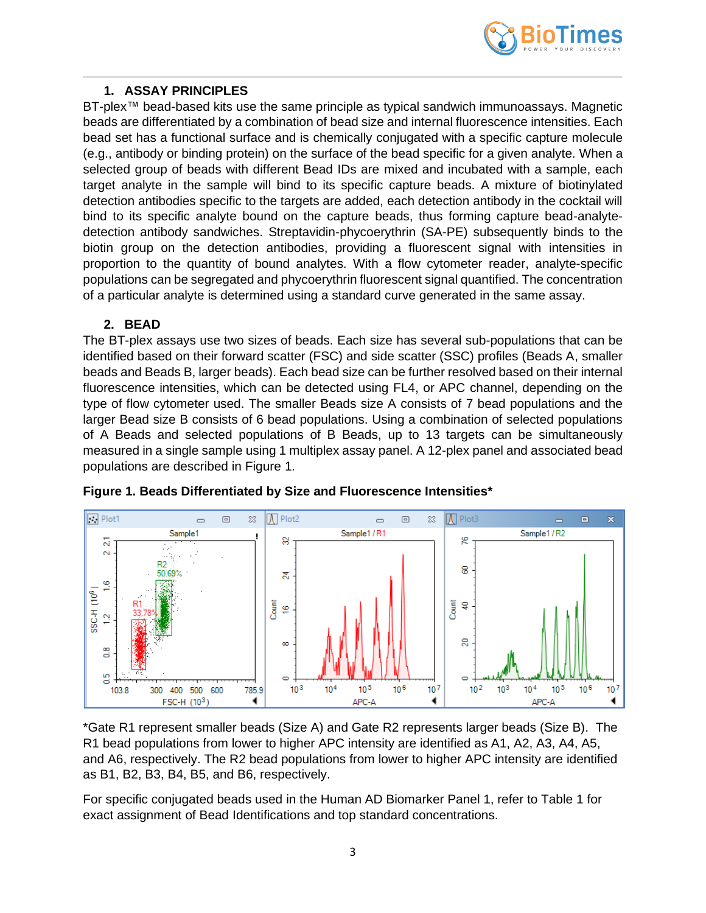

### **1. ASSAY PRINCIPLES**

<span id="page-2-0"></span>BT-plex™ bead-based kits use the same principle as typical sandwich immunoassays. Magnetic beads are differentiated by a combination of bead size and internal fluorescence intensities. Each bead set has a functional surface and is chemically conjugated with a specific capture molecule (e.g., antibody or binding protein) on the surface of the bead specific for a given analyte. When a selected group of beads with different Bead IDs are mixed and incubated with a sample, each target analyte in the sample will bind to its specific capture beads. A mixture of biotinylated detection antibodies specific to the targets are added, each detection antibody in the cocktail will bind to its specific analyte bound on the capture beads, thus forming capture bead-analytedetection antibody sandwiches. Streptavidin-phycoerythrin (SA-PE) subsequently binds to the biotin group on the detection antibodies, providing a fluorescent signal with intensities in proportion to the quantity of bound analytes. With a flow cytometer reader, analyte-specific populations can be segregated and phycoerythrin fluorescent signal quantified. The concentration of a particular analyte is determined using a standard curve generated in the same assay.

### **2. BEAD**

<span id="page-2-1"></span>The BT-plex assays use two sizes of beads. Each size has several sub-populations that can be identified based on their forward scatter (FSC) and side scatter (SSC) profiles (Beads A, smaller beads and Beads B, larger beads). Each bead size can be further resolved based on their internal fluorescence intensities, which can be detected using FL4, or APC channel, depending on the type of flow cytometer used. The smaller Beads size A consists of 7 bead populations and the larger Bead size B consists of 6 bead populations. Using a combination of selected populations of A Beads and selected populations of B Beads, up to 13 targets can be simultaneously measured in a single sample using 1 multiplex assay panel. A 12-plex panel and associated bead populations are described in Figure 1.





\*Gate R1 represent smaller beads (Size A) and Gate R2 represents larger beads (Size B). The R1 bead populations from lower to higher APC intensity are identified as A1, A2, A3, A4, A5, and A6, respectively. The R2 bead populations from lower to higher APC intensity are identified as B1, B2, B3, B4, B5, and B6, respectively.

For specific conjugated beads used in the Human AD Biomarker Panel 1, refer to Table 1 for exact assignment of Bead Identifications and top standard concentrations.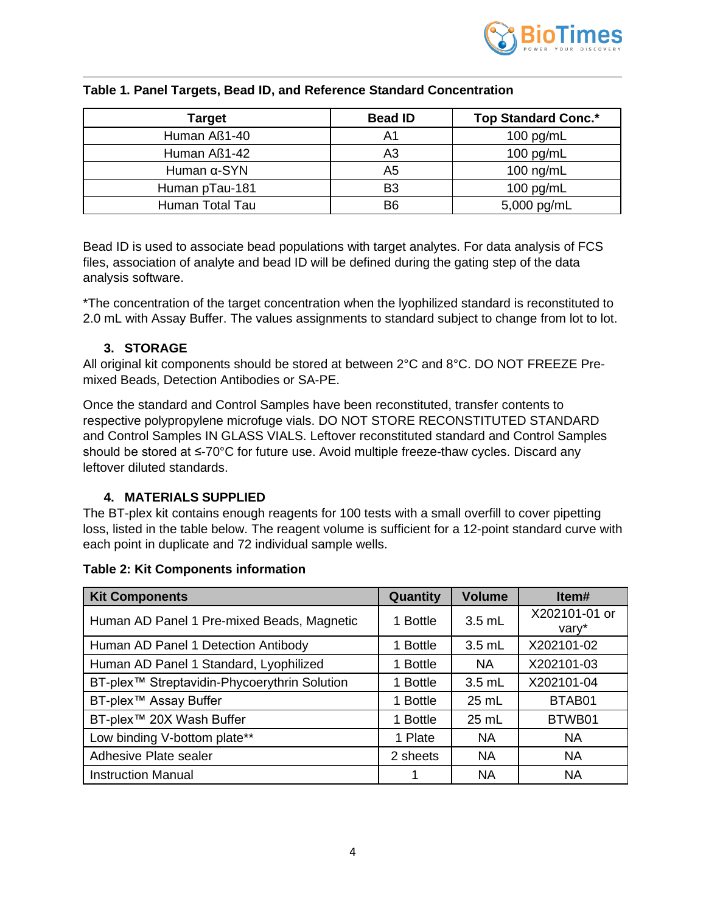

| Target              | <b>Bead ID</b> | <b>Top Standard Conc.*</b> |
|---------------------|----------------|----------------------------|
| Human Aß1-40        | A1             | 100 pg/mL                  |
| Human Aß1-42        | A3             | 100 pg/mL                  |
| Human $\alpha$ -SYN | A5             | 100 ng/mL                  |
| Human pTau-181      | B <sub>3</sub> | 100 $pg/mL$                |
| Human Total Tau     | B <sub>6</sub> | 5,000 pg/mL                |

#### **Table 1. Panel Targets, Bead ID, and Reference Standard Concentration**

Bead ID is used to associate bead populations with target analytes. For data analysis of FCS files, association of analyte and bead ID will be defined during the gating step of the data analysis software.

\*The concentration of the target concentration when the lyophilized standard is reconstituted to 2.0 mL with Assay Buffer. The values assignments to standard subject to change from lot to lot.

### **3. STORAGE**

<span id="page-3-0"></span>All original kit components should be stored at between 2°C and 8°C. DO NOT FREEZE Premixed Beads, Detection Antibodies or SA-PE.

Once the standard and Control Samples have been reconstituted, transfer contents to respective polypropylene microfuge vials. DO NOT STORE RECONSTITUTED STANDARD and Control Samples IN GLASS VIALS. Leftover reconstituted standard and Control Samples should be stored at ≤-70°C for future use. Avoid multiple freeze-thaw cycles. Discard any leftover diluted standards.

# **4. MATERIALS SUPPLIED**

<span id="page-3-1"></span>The BT-plex kit contains enough reagents for 100 tests with a small overfill to cover pipetting loss, listed in the table below. The reagent volume is sufficient for a 12-point standard curve with each point in duplicate and 72 individual sample wells.

| <b>Kit Components</b>                                    | Quantity | <b>Volume</b> | Item#                  |
|----------------------------------------------------------|----------|---------------|------------------------|
| Human AD Panel 1 Pre-mixed Beads, Magnetic               | 1 Bottle | $3.5$ mL      | X202101-01 or<br>vary* |
| Human AD Panel 1 Detection Antibody                      | 1 Bottle | 3.5 mL        | X202101-02             |
| Human AD Panel 1 Standard, Lyophilized                   | 1 Bottle | <b>NA</b>     | X202101-03             |
| BT-plex <sup>™</sup> Streptavidin-Phycoerythrin Solution | 1 Bottle | $3.5$ mL      | X202101-04             |
| BT-plex <sup>™</sup> Assay Buffer                        | 1 Bottle | 25 mL         | BTAB01                 |
| BT-plex™ 20X Wash Buffer                                 | 1 Bottle | 25 mL         | BTWB01                 |
| Low binding V-bottom plate**                             | 1 Plate  | <b>NA</b>     | <b>NA</b>              |
| Adhesive Plate sealer                                    | 2 sheets | <b>NA</b>     | <b>NA</b>              |
| <b>Instruction Manual</b>                                |          | <b>NA</b>     | <b>NA</b>              |

#### **Table 2: Kit Components information**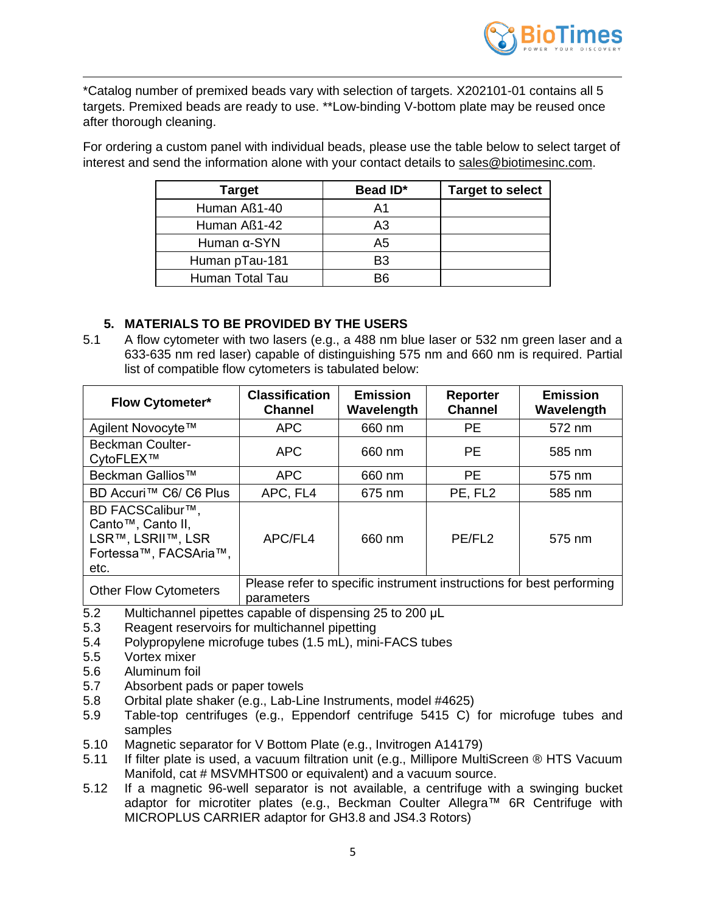

\*Catalog number of premixed beads vary with selection of targets. X202101-01 contains all 5 targets. Premixed beads are ready to use. \*\*Low-binding V-bottom plate may be reused once after thorough cleaning.

For ordering a custom panel with individual beads, please use the table below to select target of interest and send the information alone with your contact details to [sales@biotimesinc.com.](mailto:sales@biotimesinc.com)

| <b>Target</b>       | Bead ID* | <b>Target to select</b> |
|---------------------|----------|-------------------------|
| Human Aß1-40        | A1       |                         |
| Human Aß1-42        | A3       |                         |
| Human $\alpha$ -SYN | A5       |                         |
| Human pTau-181      | B3       |                         |
| Human Total Tau     |          |                         |

## <span id="page-4-0"></span>**5. MATERIALS TO BE PROVIDED BY THE USERS**

5.1 A flow cytometer with two lasers (e.g., a 488 nm blue laser or 532 nm green laser and a 633-635 nm red laser) capable of distinguishing 575 nm and 660 nm is required. Partial list of compatible flow cytometers is tabulated below:

| <b>Flow Cytometer*</b>                                                                      | <b>Classification</b><br><b>Channel</b> | <b>Emission</b><br>Wavelength | <b>Reporter</b><br><b>Channel</b> | <b>Emission</b><br>Wavelength                                        |
|---------------------------------------------------------------------------------------------|-----------------------------------------|-------------------------------|-----------------------------------|----------------------------------------------------------------------|
| Agilent Novocyte™                                                                           | <b>APC</b>                              | 660 nm                        | <b>PE</b>                         | 572 nm                                                               |
| <b>Beckman Coulter-</b><br>CytoFLEX™                                                        | <b>APC</b>                              | 660 nm                        | <b>PE</b>                         | 585 nm                                                               |
| Beckman Gallios <sup>™</sup>                                                                | <b>APC</b>                              | 660 nm                        | <b>PE</b>                         | 575 nm                                                               |
| BD Accuri™ C6/ C6 Plus                                                                      | APC, FL4                                | 675 nm                        | PE, FL2                           | 585 nm                                                               |
| BD FACSCalibur™,<br>Canto™, Canto II,<br>LSR™, LSRII™, LSR<br>Fortessa™, FACSAria™,<br>etc. | APC/FL4                                 | 660 nm                        | PE/FL2                            | 575 nm                                                               |
| <b>Other Flow Cytometers</b>                                                                | parameters                              |                               |                                   | Please refer to specific instrument instructions for best performing |

- 5.2 Multichannel pipettes capable of dispensing 25 to 200 μL
- 5.3 Reagent reservoirs for multichannel pipetting
- 5.4 Polypropylene microfuge tubes (1.5 mL), mini-FACS tubes
- 5.5 Vortex mixer
- 5.6 Aluminum foil
- 5.7 Absorbent pads or paper towels
- 5.8 Orbital plate shaker (e.g., Lab-Line Instruments, model #4625)
- 5.9 Table-top centrifuges (e.g., Eppendorf centrifuge 5415 C) for microfuge tubes and samples
- 5.10 Magnetic separator for V Bottom Plate (e.g., Invitrogen A14179)
- 5.11 If filter plate is used, a vacuum filtration unit (e.g., Millipore MultiScreen ® HTS Vacuum Manifold, cat # MSVMHTS00 or equivalent) and a vacuum source.
- 5.12 If a magnetic 96-well separator is not available, a centrifuge with a swinging bucket adaptor for microtiter plates (e.g., Beckman Coulter Allegra™ 6R Centrifuge with MICROPLUS CARRIER adaptor for GH3.8 and JS4.3 Rotors)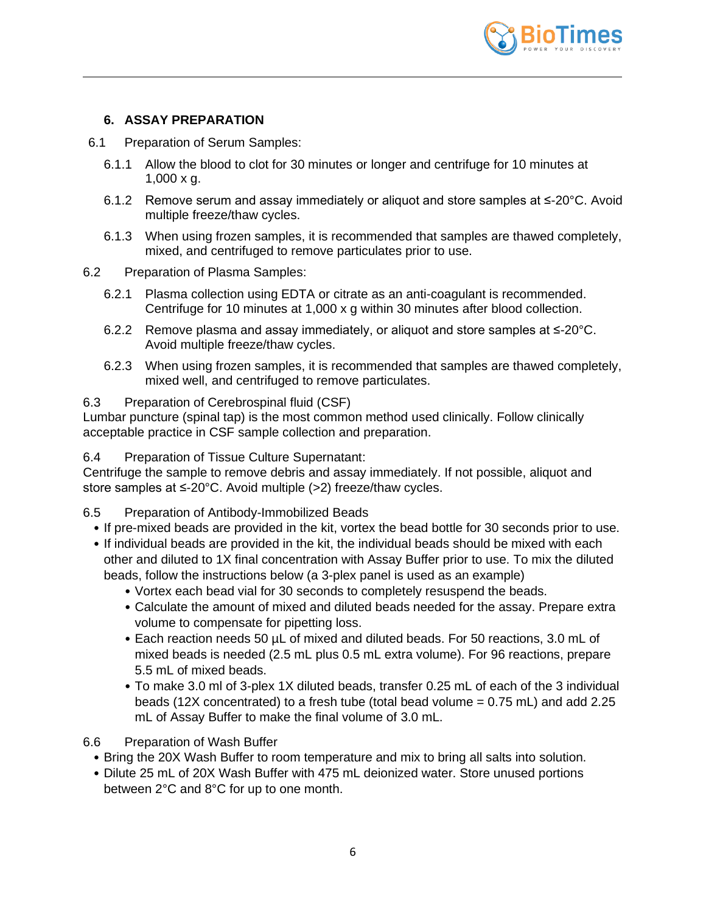

# **6. ASSAY PREPARATION**

- 6.1 Preparation of Serum Samples:
	- 6.1.1 Allow the blood to clot for 30 minutes or longer and centrifuge for 10 minutes at 1,000 x g.
	- 6.1.2 Remove serum and assay immediately or aliquot and store samples at ≤-20°C. Avoid multiple freeze/thaw cycles.
	- 6.1.3 When using frozen samples, it is recommended that samples are thawed completely, mixed, and centrifuged to remove particulates prior to use.
- 6.2 Preparation of Plasma Samples:
	- 6.2.1 Plasma collection using EDTA or citrate as an anti-coagulant is recommended. Centrifuge for 10 minutes at 1,000 x g within 30 minutes after blood collection.
	- 6.2.2 Remove plasma and assay immediately, or aliquot and store samples at ≤-20°C. Avoid multiple freeze/thaw cycles.
	- 6.2.3 When using frozen samples, it is recommended that samples are thawed completely, mixed well, and centrifuged to remove particulates.

### 6.3 Preparation of Cerebrospinal fluid (CSF)

Lumbar puncture (spinal tap) is the most common method used clinically. Follow clinically acceptable practice in CSF sample collection and preparation.

6.4 Preparation of Tissue Culture Supernatant:

Centrifuge the sample to remove debris and assay immediately. If not possible, aliquot and store samples at ≤-20°C. Avoid multiple (>2) freeze/thaw cycles.

6.5 Preparation of Antibody-Immobilized Beads

- If pre-mixed beads are provided in the kit, vortex the bead bottle for 30 seconds prior to use.
- If individual beads are provided in the kit, the individual beads should be mixed with each other and diluted to 1X final concentration with Assay Buffer prior to use. To mix the diluted beads, follow the instructions below (a 3-plex panel is used as an example)
	- Vortex each bead vial for 30 seconds to completely resuspend the beads.
	- Calculate the amount of mixed and diluted beads needed for the assay. Prepare extra volume to compensate for pipetting loss.
	- Each reaction needs 50 µL of mixed and diluted beads. For 50 reactions, 3.0 mL of mixed beads is needed (2.5 mL plus 0.5 mL extra volume). For 96 reactions, prepare 5.5 mL of mixed beads.
	- To make 3.0 ml of 3-plex 1X diluted beads, transfer 0.25 mL of each of the 3 individual beads (12X concentrated) to a fresh tube (total bead volume = 0.75 mL) and add 2.25 mL of Assay Buffer to make the final volume of 3.0 mL.

6.6 Preparation of Wash Buffer

- Bring the 20X Wash Buffer to room temperature and mix to bring all salts into solution.
- Dilute 25 mL of 20X Wash Buffer with 475 mL deionized water. Store unused portions between 2°C and 8°C for up to one month.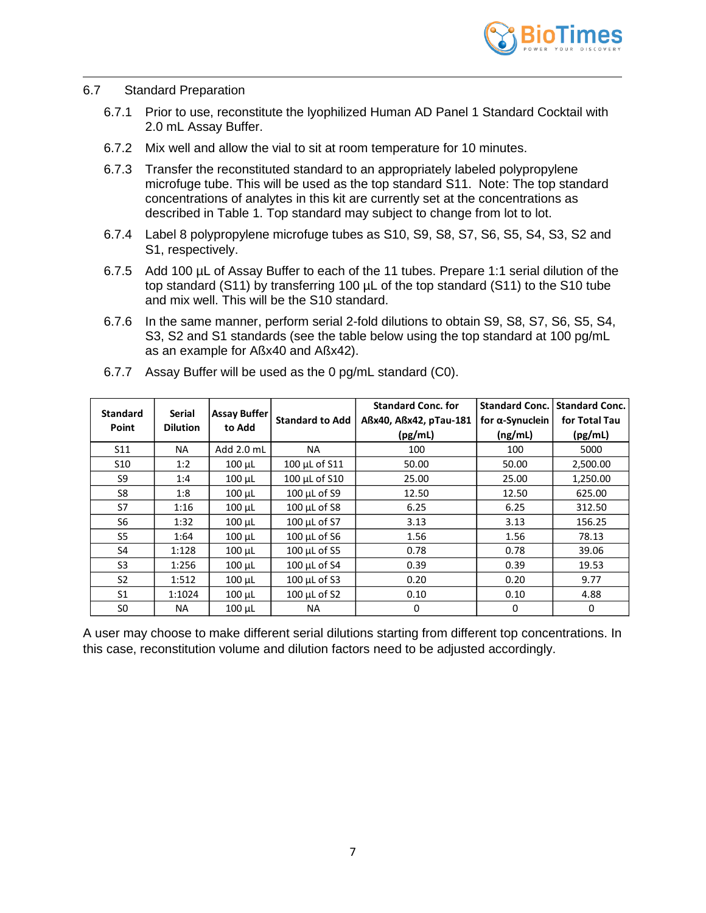

#### 6.7 Standard Preparation

- 6.7.1 Prior to use, reconstitute the lyophilized Human AD Panel 1 Standard Cocktail with 2.0 mL Assay Buffer.
- 6.7.2 Mix well and allow the vial to sit at room temperature for 10 minutes.
- 6.7.3 Transfer the reconstituted standard to an appropriately labeled polypropylene microfuge tube. This will be used as the top standard S11. Note: The top standard concentrations of analytes in this kit are currently set at the concentrations as described in Table 1. Top standard may subject to change from lot to lot.
- 6.7.4 Label 8 polypropylene microfuge tubes as S10, S9, S8, S7, S6, S5, S4, S3, S2 and S1, respectively.
- 6.7.5 Add 100 µL of Assay Buffer to each of the 11 tubes. Prepare 1:1 serial dilution of the top standard (S11) by transferring 100 µL of the top standard (S11) to the S10 tube and mix well. This will be the S10 standard.
- 6.7.6 In the same manner, perform serial 2-fold dilutions to obtain S9, S8, S7, S6, S5, S4, S3, S2 and S1 standards (see the table below using the top standard at 100 pg/mL as an example for Aßx40 and Aßx42).

| <b>Standard</b><br>Point | <b>Serial</b><br><b>Dilution</b> | <b>Assay Buffer</b><br>to Add | <b>Standard to Add</b> | <b>Standard Conc. for</b><br>Aßx40, Aßx42, pTau-181<br>(pg/mL) | <b>Standard Conc.</b><br>for $\alpha$ -Synuclein<br>(ng/mL) | <b>Standard Conc.</b><br>for Total Tau<br>(pg/mL) |
|--------------------------|----------------------------------|-------------------------------|------------------------|----------------------------------------------------------------|-------------------------------------------------------------|---------------------------------------------------|
| S11                      | NA.                              | Add 2.0 mL                    | <b>NA</b>              | 100                                                            | 100                                                         | 5000                                              |
| S <sub>10</sub>          | 1:2                              | $100 \mu L$                   | 100 µL of S11          | 50.00                                                          | 50.00                                                       | 2,500.00                                          |
| S9                       | 1:4                              | 100 µL                        | 100 µL of S10          | 25.00                                                          | 25.00                                                       | 1,250.00                                          |
| S8                       | 1:8                              | $100 \mu L$                   | 100 µL of S9           | 12.50                                                          | 12.50                                                       | 625.00                                            |
| S7                       | 1:16                             | 100 µL                        | $100 \mu L$ of S8      | 6.25                                                           | 6.25                                                        | 312.50                                            |
| S6                       | 1:32                             | $100$ $\mu$ L                 | 100 µL of S7           | 3.13                                                           | 3.13                                                        | 156.25                                            |
| S <sub>5</sub>           | 1:64                             | $100 \mu L$                   | 100 µL of S6           | 1.56                                                           | 1.56                                                        | 78.13                                             |
| S4                       | 1:128                            | $100 \mu L$                   | 100 µL of S5           | 0.78                                                           | 0.78                                                        | 39.06                                             |
| S <sub>3</sub>           | 1:256                            | $100 \mu L$                   | 100 µL of S4           | 0.39                                                           | 0.39                                                        | 19.53                                             |
| S <sub>2</sub>           | 1:512                            | $100 \mu L$                   | 100 µL of S3           | 0.20                                                           | 0.20                                                        | 9.77                                              |
| S <sub>1</sub>           | 1:1024                           | $100 \mu L$                   | 100 µL of S2           | 0.10                                                           | 0.10                                                        | 4.88                                              |
| SO.                      | <b>NA</b>                        | 100 µL                        | NA                     | $\Omega$                                                       | 0                                                           | 0                                                 |

6.7.7 Assay Buffer will be used as the 0 pg/mL standard (C0).

A user may choose to make different serial dilutions starting from different top concentrations. In this case, reconstitution volume and dilution factors need to be adjusted accordingly.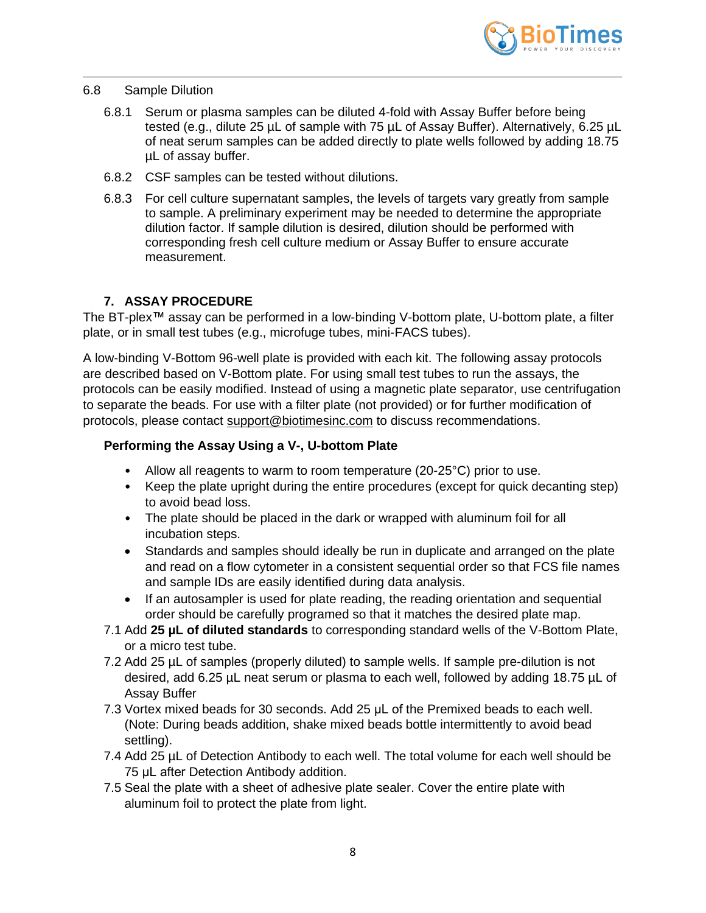

#### 6.8 Sample Dilution

- 6.8.1 Serum or plasma samples can be diluted 4-fold with Assay Buffer before being tested (e.g., dilute 25 µL of sample with 75 µL of Assay Buffer). Alternatively, 6.25 µL of neat serum samples can be added directly to plate wells followed by adding 18.75 µL of assay buffer.
- 6.8.2 CSF samples can be tested without dilutions.
- 6.8.3 For cell culture supernatant samples, the levels of targets vary greatly from sample to sample. A preliminary experiment may be needed to determine the appropriate dilution factor. If sample dilution is desired, dilution should be performed with corresponding fresh cell culture medium or Assay Buffer to ensure accurate measurement.

## **7. ASSAY PROCEDURE**

<span id="page-7-0"></span>The BT-plex™ assay can be performed in a low-binding V-bottom plate, U-bottom plate, a filter plate, or in small test tubes (e.g., microfuge tubes, mini-FACS tubes).

A low-binding V-Bottom 96-well plate is provided with each kit. The following assay protocols are described based on V-Bottom plate. For using small test tubes to run the assays, the protocols can be easily modified. Instead of using a magnetic plate separator, use centrifugation to separate the beads. For use with a filter plate (not provided) or for further modification of protocols, please contact [support@biotimesinc.com](mailto:support@biotimesinc.com) to discuss recommendations.

## **Performing the Assay Using a V-, U-bottom Plate**

- Allow all reagents to warm to room temperature (20-25°C) prior to use.
- Keep the plate upright during the entire procedures (except for quick decanting step) to avoid bead loss.
- The plate should be placed in the dark or wrapped with aluminum foil for all incubation steps.
- Standards and samples should ideally be run in duplicate and arranged on the plate and read on a flow cytometer in a consistent sequential order so that FCS file names and sample IDs are easily identified during data analysis.
- If an autosampler is used for plate reading, the reading orientation and sequential order should be carefully programed so that it matches the desired plate map.
- 7.1 Add **25 µL of diluted standards** to corresponding standard wells of the V-Bottom Plate, or a micro test tube.
- 7.2 Add 25 µL of samples (properly diluted) to sample wells. If sample pre-dilution is not desired, add 6.25 µL neat serum or plasma to each well, followed by adding 18.75 µL of Assay Buffer
- 7.3 Vortex mixed beads for 30 seconds. Add 25 μL of the Premixed beads to each well. (Note: During beads addition, shake mixed beads bottle intermittently to avoid bead settling).
- 7.4 Add 25 µL of Detection Antibody to each well. The total volume for each well should be 75 μL after Detection Antibody addition.
- 7.5 Seal the plate with a sheet of adhesive plate sealer. Cover the entire plate with aluminum foil to protect the plate from light.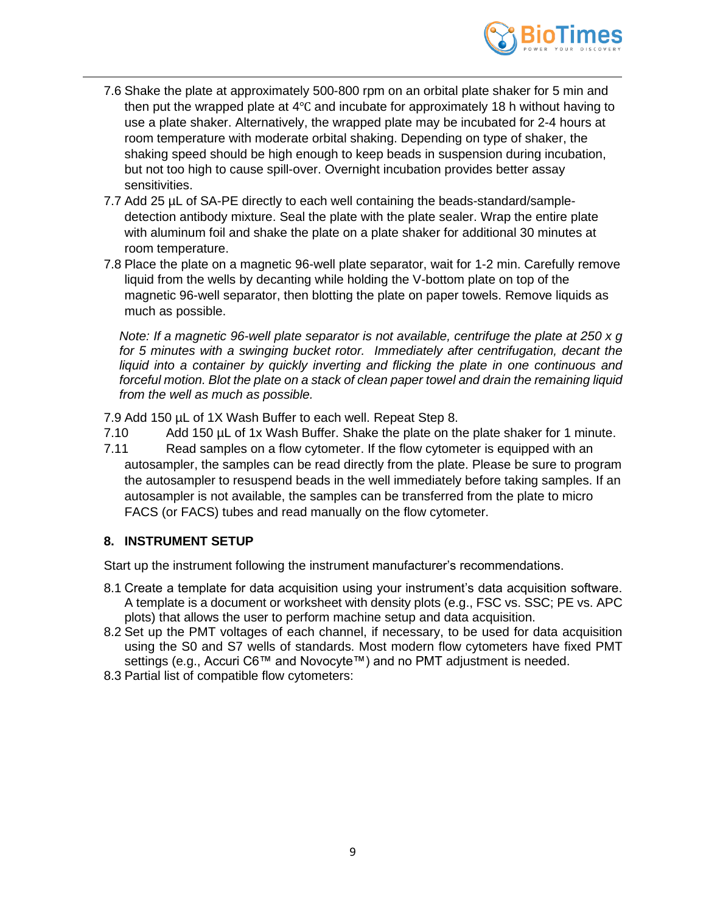

- 7.6 Shake the plate at approximately 500-800 rpm on an orbital plate shaker for 5 min and then put the wrapped plate at 4℃ and incubate for approximately 18 h without having to use a plate shaker. Alternatively, the wrapped plate may be incubated for 2-4 hours at room temperature with moderate orbital shaking. Depending on type of shaker, the shaking speed should be high enough to keep beads in suspension during incubation, but not too high to cause spill-over. Overnight incubation provides better assay sensitivities.
- 7.7 Add 25 µL of SA-PE directly to each well containing the beads-standard/sampledetection antibody mixture. Seal the plate with the plate sealer. Wrap the entire plate with aluminum foil and shake the plate on a plate shaker for additional 30 minutes at room temperature.
- 7.8 Place the plate on a magnetic 96-well plate separator, wait for 1-2 min. Carefully remove liquid from the wells by decanting while holding the V-bottom plate on top of the magnetic 96-well separator, then blotting the plate on paper towels. Remove liquids as much as possible.

*Note: If a magnetic 96-well plate separator is not available, centrifuge the plate at 250 x g*  for 5 minutes with a swinging bucket rotor. Immediately after centrifugation, decant the *liquid into a container by quickly inverting and flicking the plate in one continuous and forceful motion. Blot the plate on a stack of clean paper towel and drain the remaining liquid from the well as much as possible.* 

7.9 Add 150 µL of 1X Wash Buffer to each well. Repeat Step 8.

- 7.10 Add 150 µL of 1x Wash Buffer. Shake the plate on the plate shaker for 1 minute.
- 7.11 Read samples on a flow cytometer. If the flow cytometer is equipped with an autosampler, the samples can be read directly from the plate. Please be sure to program the autosampler to resuspend beads in the well immediately before taking samples. If an autosampler is not available, the samples can be transferred from the plate to micro FACS (or FACS) tubes and read manually on the flow cytometer.

### <span id="page-8-0"></span>**8. INSTRUMENT SETUP**

Start up the instrument following the instrument manufacturer's recommendations.

- 8.1 Create a template for data acquisition using your instrument's data acquisition software. A template is a document or worksheet with density plots (e.g., FSC vs. SSC; PE vs. APC plots) that allows the user to perform machine setup and data acquisition.
- 8.2 Set up the PMT voltages of each channel, if necessary, to be used for data acquisition using the S0 and S7 wells of standards. Most modern flow cytometers have fixed PMT settings (e.g., Accuri C6™ and Novocyte™) and no PMT adjustment is needed.
- 8.3 Partial list of compatible flow cytometers: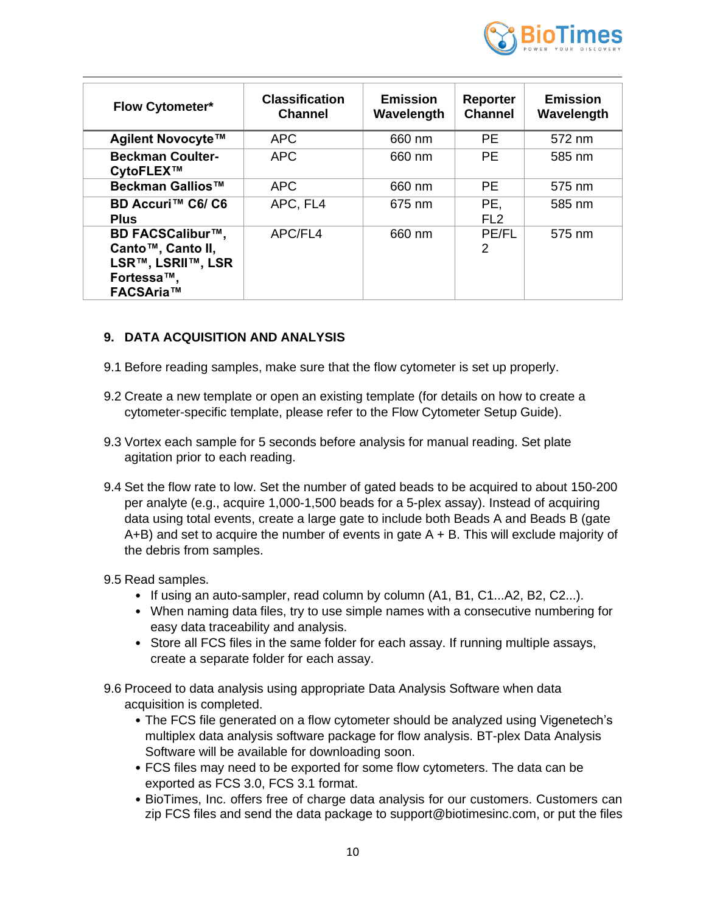

| <b>Flow Cytometer*</b>                                                                       | <b>Classification</b><br><b>Channel</b> | <b>Emission</b><br>Wavelength | <b>Reporter</b><br><b>Channel</b> | <b>Emission</b><br>Wavelength |
|----------------------------------------------------------------------------------------------|-----------------------------------------|-------------------------------|-----------------------------------|-------------------------------|
| Agilent Novocyte™                                                                            | <b>APC</b>                              | 660 nm                        | PE.                               | 572 nm                        |
| <b>Beckman Coulter-</b><br>CytoFLEX™                                                         | <b>APC</b>                              | 660 nm                        | <b>PE</b>                         | 585 nm                        |
| Beckman Gallios™                                                                             | <b>APC</b>                              | 660 nm                        | <b>PE</b>                         | 575 nm                        |
| BD Accuri™ C6/ C6<br><b>Plus</b>                                                             | APC, FL4                                | 675 nm                        | PE.<br>FL <sub>2</sub>            | 585 nm                        |
| <b>BD FACSCalibur™,</b><br>Canto™, Canto II,<br>LSR™, LSRII™, LSR<br>Fortessa™,<br>FACSAria™ | APC/FL4                                 | 660 nm                        | <b>PE/FL</b><br>2                 | 575 nm                        |

## <span id="page-9-0"></span>**9. DATA ACQUISITION AND ANALYSIS**

- 9.1 Before reading samples, make sure that the flow cytometer is set up properly.
- 9.2 Create a new template or open an existing template (for details on how to create a cytometer-specific template, please refer to the Flow Cytometer Setup Guide).
- 9.3 Vortex each sample for 5 seconds before analysis for manual reading. Set plate agitation prior to each reading.
- 9.4 Set the flow rate to low. Set the number of gated beads to be acquired to about 150-200 per analyte (e.g., acquire 1,000-1,500 beads for a 5-plex assay). Instead of acquiring data using total events, create a large gate to include both Beads A and Beads B (gate  $A+B$ ) and set to acquire the number of events in gate  $A + B$ . This will exclude majority of the debris from samples.
- 9.5 Read samples.
	- If using an auto-sampler, read column by column (A1, B1, C1...A2, B2, C2...).
	- When naming data files, try to use simple names with a consecutive numbering for easy data traceability and analysis.
	- Store all FCS files in the same folder for each assay. If running multiple assays, create a separate folder for each assay.
- 9.6 Proceed to data analysis using appropriate Data Analysis Software when data acquisition is completed.
	- The FCS file generated on a flow cytometer should be analyzed using Vigenetech's multiplex data analysis software package for flow analysis. BT-plex Data Analysis Software will be available for downloading soon.
	- FCS files may need to be exported for some flow cytometers. The data can be exported as FCS 3.0, FCS 3.1 format.
	- BioTimes, Inc. offers free of charge data analysis for our customers. Customers can zip FCS files and send the data package to [support@biotimesinc.com,](mailto:tech@biotimesinc.com) or put the files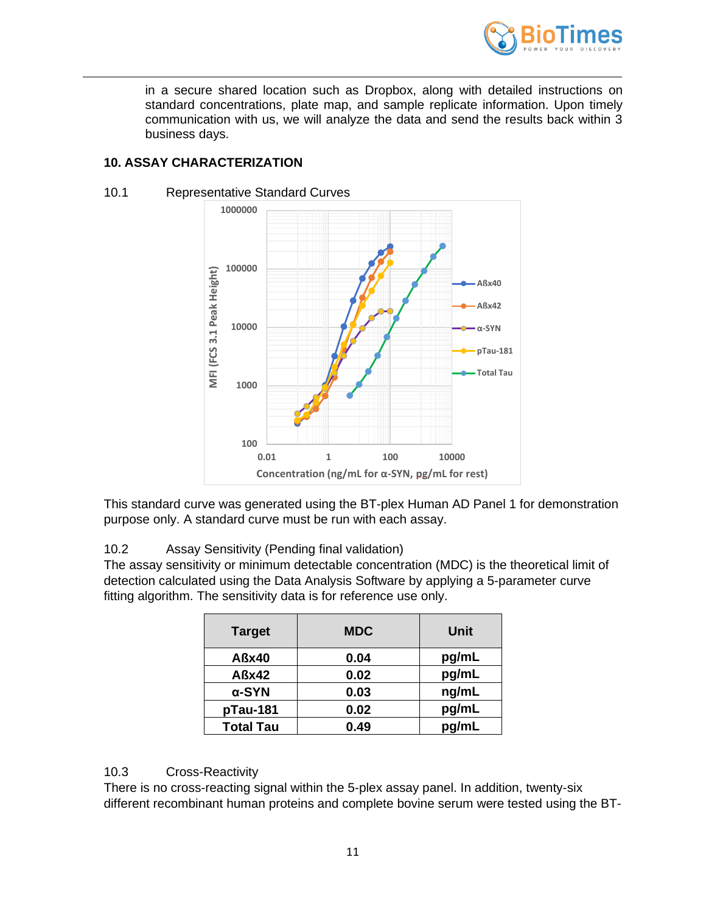

in a secure shared location such as Dropbox, along with detailed instructions on standard concentrations, plate map, and sample replicate information. Upon timely communication with us, we will analyze the data and send the results back within 3 business days.

# <span id="page-10-0"></span>**10. ASSAY CHARACTERIZATION**



#### 10.1 Representative Standard Curves

This standard curve was generated using the BT-plex Human AD Panel 1 for demonstration purpose only. A standard curve must be run with each assay.

10.2 Assay Sensitivity (Pending final validation)

The assay sensitivity or minimum detectable concentration (MDC) is the theoretical limit of detection calculated using the Data Analysis Software by applying a 5-parameter curve fitting algorithm. The sensitivity data is for reference use only.

| <b>Target</b>    | <b>MDC</b> | Unit  |
|------------------|------------|-------|
| Aßx40            | 0.04       | pg/mL |
| Aßx42            | 0.02       | pg/mL |
| $\alpha$ -SYN    | 0.03       | ng/mL |
| pTau-181         | 0.02       | pg/mL |
| <b>Total Tau</b> | 0.49       | pg/mL |

### 10.3 Cross-Reactivity

There is no cross-reacting signal within the 5-plex assay panel. In addition, twenty-six different recombinant human proteins and complete bovine serum were tested using the BT-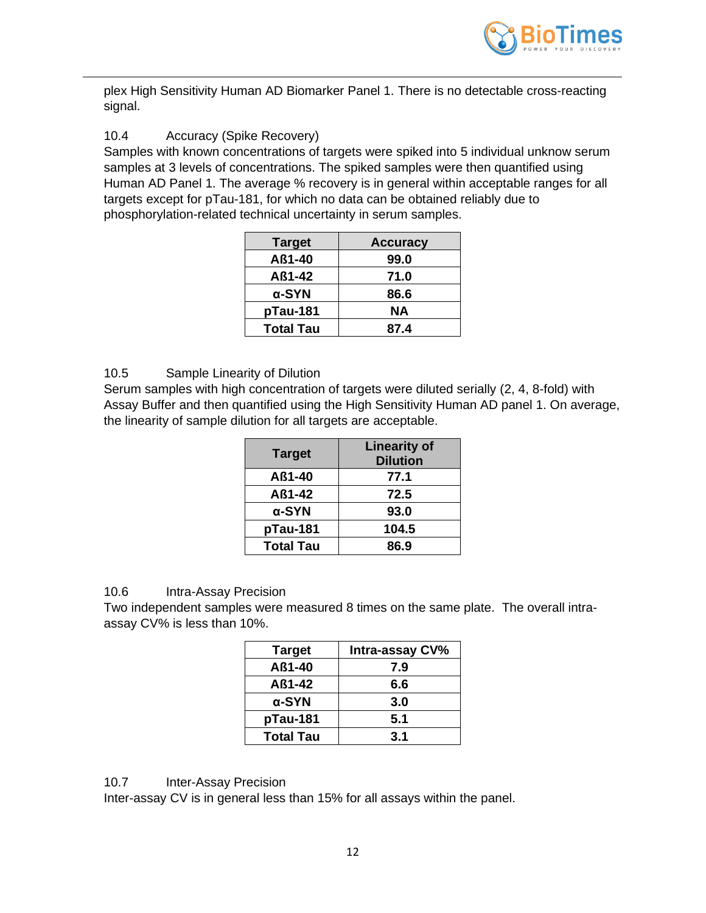

plex High Sensitivity Human AD Biomarker Panel 1. There is no detectable cross-reacting signal.

# 10.4 Accuracy (Spike Recovery)

Samples with known concentrations of targets were spiked into 5 individual unknow serum samples at 3 levels of concentrations. The spiked samples were then quantified using Human AD Panel 1. The average % recovery is in general within acceptable ranges for all targets except for pTau-181, for which no data can be obtained reliably due to phosphorylation-related technical uncertainty in serum samples.

| <b>Target</b>    | <b>Accuracy</b> |
|------------------|-----------------|
| Aß1-40           | 99.0            |
| Aß1-42           | 71.0            |
| α-SYN            | 86.6            |
| pTau-181         | NА              |
| <b>Total Tau</b> | 87.4            |

## 10.5 Sample Linearity of Dilution

Serum samples with high concentration of targets were diluted serially (2, 4, 8-fold) with Assay Buffer and then quantified using the High Sensitivity Human AD panel 1. On average, the linearity of sample dilution for all targets are acceptable.

| <b>Target</b>    | <b>Linearity of</b><br><b>Dilution</b> |
|------------------|----------------------------------------|
| Aß1-40           | 77.1                                   |
| Aß1-42           | 72.5                                   |
| $\alpha$ -SYN    | 93.0                                   |
| pTau-181         | 104.5                                  |
| <b>Total Tau</b> | 86.9                                   |

### 10.6 Intra-Assay Precision

Two independent samples were measured 8 times on the same plate. The overall intraassay CV% is less than 10%.

| <b>Target</b>    | <b>Intra-assay CV%</b> |
|------------------|------------------------|
| Aß1-40           | 7.9                    |
| Aß1-42           | 6.6                    |
| α-SYN            | 3.0                    |
| pTau-181         | 5.1                    |
| <b>Total Tau</b> | 3.1                    |

10.7 Inter-Assay Precision

Inter-assay CV is in general less than 15% for all assays within the panel.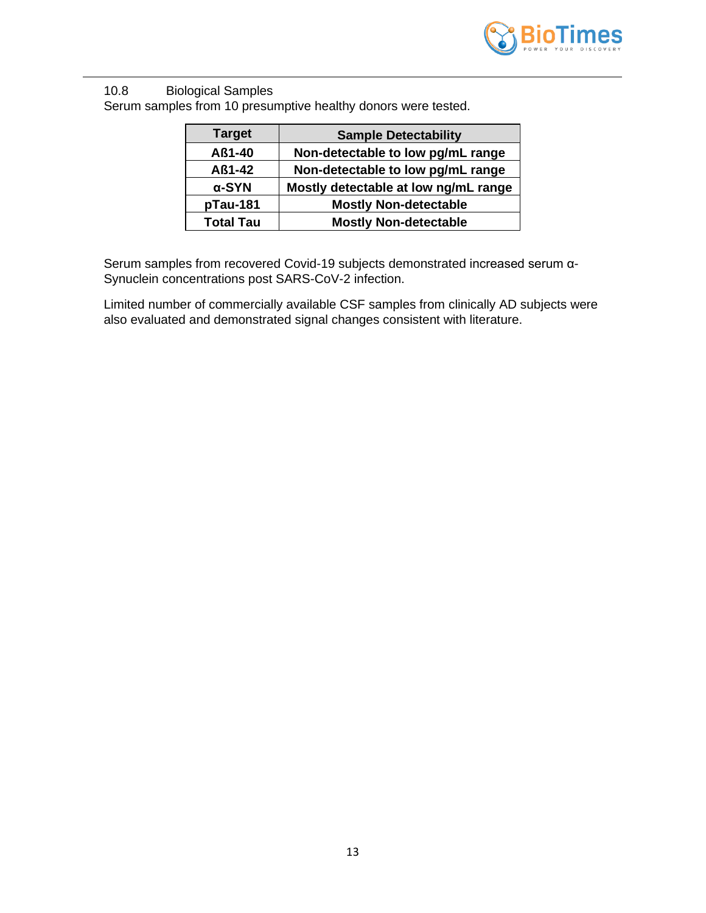

10.8 Biological Samples Serum samples from 10 presumptive healthy donors were tested.

| <b>Target</b>    | <b>Sample Detectability</b>          |
|------------------|--------------------------------------|
| Aß1-40           | Non-detectable to low pg/mL range    |
| Aß1-42           | Non-detectable to low pg/mL range    |
| $\alpha$ -SYN    | Mostly detectable at low ng/mL range |
| pTau-181         | <b>Mostly Non-detectable</b>         |
| <b>Total Tau</b> | <b>Mostly Non-detectable</b>         |

Serum samples from recovered Covid-19 subjects demonstrated increased serum α-Synuclein concentrations post SARS-CoV-2 infection.

Limited number of commercially available CSF samples from clinically AD subjects were also evaluated and demonstrated signal changes consistent with literature.